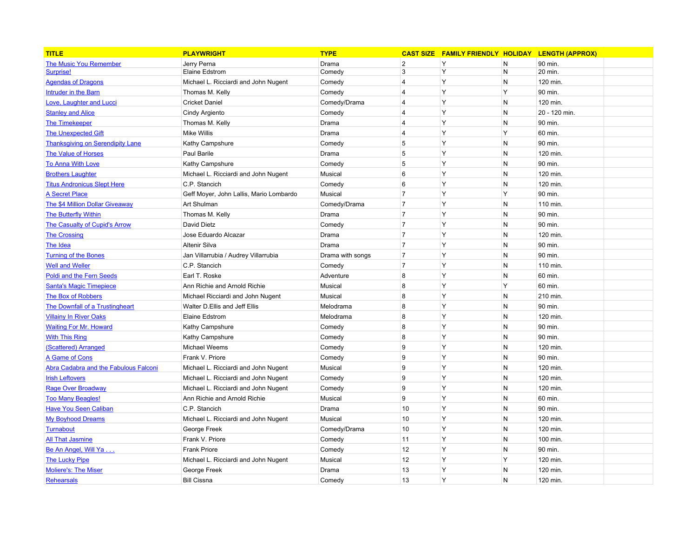| <b>TITLE</b>                            | <b>PLAYWRIGHT</b>                       | <b>TYPE</b>      | <b>CAST SIZE</b> | <b>FAMILY FRIENDLY HOLIDAY</b> |              | <b>LENGTH (APPROX)</b> |
|-----------------------------------------|-----------------------------------------|------------------|------------------|--------------------------------|--------------|------------------------|
| <b>The Music You Remember</b>           | Jerry Perna                             | Drama            | $\overline{2}$   | Y                              | N            | 90 min.                |
| Surprise!                               | Elaine Edstrom                          | Comedy           | 3                | Y                              | $\mathsf{N}$ | 20 min.                |
| <b>Agendas of Dragons</b>               | Michael L. Ricciardi and John Nugent    | Comedy           | 4                | Υ                              | $\mathsf{N}$ | 120 min.               |
| <b>Intruder in the Barn</b>             | Thomas M. Kelly                         | Comedy           | $\overline{4}$   | Y                              | Y            | 90 min.                |
| Love, Laughter and Lucci                | <b>Cricket Daniel</b>                   | Comedy/Drama     | $\overline{4}$   | Y                              | N            | 120 min.               |
| <b>Stanley and Alice</b>                | Cindy Argiento                          | Comedy           | $\overline{4}$   | Y                              | N            | 20 - 120 min.          |
| <b>The Timekeeper</b>                   | Thomas M. Kelly                         | Drama            | $\overline{4}$   | Y                              | N            | 90 min.                |
| <b>The Unexpected Gift</b>              | <b>Mike Willis</b>                      | Drama            | $\overline{4}$   | Y                              | Y            | 60 min.                |
| <b>Thanksgiving on Serendipity Lane</b> | Kathy Campshure                         | Comedy           | 5                | Y                              | N            | 90 min.                |
| <b>The Value of Horses</b>              | Paul Barile                             | Drama            | 5                | Y                              | N            | 120 min.               |
| <b>To Anna With Love</b>                | Kathy Campshure                         | Comedy           | 5                | Y                              | N            | 90 min.                |
| <b>Brothers Laughter</b>                | Michael L. Ricciardi and John Nugent    | Musical          | 6                | Y                              | N            | 120 min.               |
| <b>Titus Andronicus Slept Here</b>      | C.P. Stancich                           | Comedy           | 6                | Y                              | N            | 120 min.               |
| <b>A Secret Place</b>                   | Geff Moyer, John Lallis, Mario Lombardo | Musical          | $\overline{7}$   | Y                              | Y            | 90 min.                |
| The \$4 Million Dollar Giveaway         | Art Shulman                             | Comedy/Drama     | $\overline{7}$   | Y                              | N            | 110 min.               |
| <b>The Butterfly Within</b>             | Thomas M. Kelly                         | Drama            | $\overline{7}$   | Y                              | N            | 90 min.                |
| The Casualty of Cupid's Arrow           | David Dietz                             | Comedy           | $\overline{7}$   | Y                              | N            | 90 min.                |
| <b>The Crossing</b>                     | Jose Eduardo Alcazar                    | Drama            | $\overline{7}$   | Y                              | N            | 120 min.               |
| The Idea                                | Altenir Silva                           | Drama            | $\overline{7}$   | Y                              | N            | 90 min.                |
| <b>Turning of the Bones</b>             | Jan Villarrubia / Audrey Villarrubia    | Drama with songs | $\overline{7}$   | Y                              | N            | 90 min.                |
| <b>Well and Weller</b>                  | C.P. Stancich                           | Comedy           | $\overline{7}$   | Y                              | N            | 110 min.               |
| <b>Poldi and the Fern Seeds</b>         | Earl T. Roske                           | Adventure        | 8                | Y                              | N            | 60 min.                |
| <b>Santa's Magic Timepiece</b>          | Ann Richie and Arnold Richie            | Musical          | 8                | Y                              | Y            | 60 min.                |
| <b>The Box of Robbers</b>               | Michael Ricciardi and John Nugent       | Musical          | 8                | Y                              | N            | 210 min.               |
| The Downfall of a Trustingheart         | Walter D.Ellis and Jeff Ellis           | Melodrama        | 8                | Y                              | N            | 90 min.                |
| <b>Villainy In River Oaks</b>           | <b>Elaine Edstrom</b>                   | Melodrama        | 8                | Y                              | N            | 120 min.               |
| <b>Waiting For Mr. Howard</b>           | Kathy Campshure                         | Comedy           | 8                | Y                              | N            | 90 min.                |
| <b>With This Ring</b>                   | Kathy Campshure                         | Comedy           | 8                | Y                              | N            | 90 min.                |
| (Scattered) Arranged                    | Michael Weems                           | Comedy           | 9                | Y                              | $\mathsf{N}$ | 120 min.               |
| A Game of Cons                          | Frank V. Priore                         | Comedy           | 9                | Y                              | $\mathsf{N}$ | 90 min.                |
| Abra Cadabra and the Fabulous Falconi   | Michael L. Ricciardi and John Nugent    | Musical          | 9                | Y                              | N            | 120 min.               |
| <b>Irish Leftovers</b>                  | Michael L. Ricciardi and John Nugent    | Comedy           | 9                | Y                              | $\mathsf{N}$ | 120 min.               |
| <b>Rage Over Broadway</b>               | Michael L. Ricciardi and John Nugent    | Comedy           | 9                | Y                              | $\mathsf{N}$ | 120 min.               |
| <b>Too Many Beagles!</b>                | Ann Richie and Arnold Richie            | Musical          | 9                | Y                              | $\mathsf{N}$ | 60 min.                |
| <b>Have You Seen Caliban</b>            | C.P. Stancich                           | Drama            | 10               | Y                              | N            | 90 min.                |
| <b>My Boyhood Dreams</b>                | Michael L. Ricciardi and John Nugent    | Musical          | 10               | Y                              | $\mathsf{N}$ | 120 min.               |
| Turnabout                               | George Freek                            | Comedy/Drama     | 10               | Y                              | N            | 120 min.               |
| <b>All That Jasmine</b>                 | Frank V. Priore                         | Comedy           | 11               | Y                              | N            | 100 min.               |
| Be An Angel, Will Ya                    | <b>Frank Priore</b>                     | Comedy           | 12               | Y                              | N            | 90 min.                |
| <b>The Lucky Pipe</b>                   | Michael L. Ricciardi and John Nugent    | Musical          | 12               | Y                              | Y            | 120 min.               |
| <b>Moliere's: The Miser</b>             | George Freek                            | Drama            | 13               | Y                              | N            | 120 min.               |
| Rehearsals                              | <b>Bill Cissna</b>                      | Comedy           | 13               | Y                              | N            | 120 min.               |